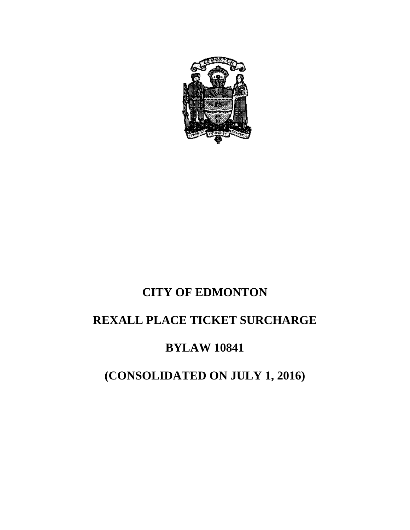

# **CITY OF EDMONTON REXALL PLACE TICKET SURCHARGE**

### **BYLAW 10841**

## **(CONSOLIDATED ON JULY 1, 2016)**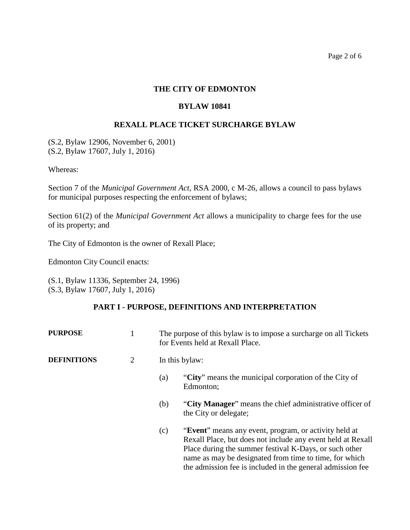Page 2 of 6

#### **THE CITY OF EDMONTON**

#### **BYLAW 10841**

#### **REXALL PLACE TICKET SURCHARGE BYLAW**

(S.2, Bylaw 12906, November 6, 2001) (S.2, Bylaw 17607, July 1, 2016)

Whereas:

Section 7 of the *Municipal Government Act*, RSA 2000, c M-26, allows a council to pass bylaws for municipal purposes respecting the enforcement of bylaws;

Section 61(2) of the *Municipal Government Act* allows a municipality to charge fees for the use of its property; and

The City of Edmonton is the owner of Rexall Place;

Edmonton City Council enacts:

(S.1, Bylaw 11336, September 24, 1996) (S.3, Bylaw 17607, July 1, 2016)

#### **PART I - PURPOSE, DEFINITIONS AND INTERPRETATION**

| <b>PURPOSE</b>     |                | The purpose of this bylaw is to impose a surcharge on all Tickets<br>for Events held at Rexall Place. |                                                                                                                                                                                                                                                                                                        |  |
|--------------------|----------------|-------------------------------------------------------------------------------------------------------|--------------------------------------------------------------------------------------------------------------------------------------------------------------------------------------------------------------------------------------------------------------------------------------------------------|--|
| <b>DEFINITIONS</b> | $\overline{2}$ | In this bylaw:                                                                                        |                                                                                                                                                                                                                                                                                                        |  |
|                    |                | (a)                                                                                                   | "City" means the municipal corporation of the City of<br>Edmonton;                                                                                                                                                                                                                                     |  |
|                    |                | (b)                                                                                                   | "City Manager" means the chief administrative officer of<br>the City or delegate;                                                                                                                                                                                                                      |  |
|                    |                | (c)                                                                                                   | "Event" means any event, program, or activity held at<br>Rexall Place, but does not include any event held at Rexall<br>Place during the summer festival K-Days, or such other<br>name as may be designated from time to time, for which<br>the admission fee is included in the general admission fee |  |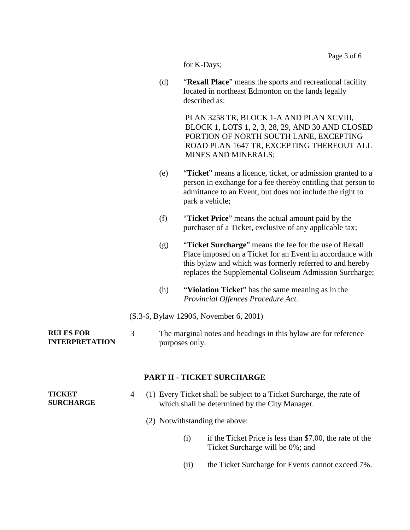|                                           |                |     |                | Page 3 of 6                                                                                                                                                                                                                                |
|-------------------------------------------|----------------|-----|----------------|--------------------------------------------------------------------------------------------------------------------------------------------------------------------------------------------------------------------------------------------|
|                                           |                |     | for K-Days;    |                                                                                                                                                                                                                                            |
|                                           |                | (d) |                | "Rexall Place" means the sports and recreational facility<br>located in northeast Edmonton on the lands legally<br>described as:                                                                                                           |
|                                           |                |     |                | PLAN 3258 TR, BLOCK 1-A AND PLAN XCVIII,<br>BLOCK 1, LOTS 1, 2, 3, 28, 29, AND 30 AND CLOSED<br>PORTION OF NORTH SOUTH LANE, EXCEPTING<br>ROAD PLAN 1647 TR, EXCEPTING THEREOUT ALL<br><b>MINES AND MINERALS;</b>                          |
|                                           |                | (e) |                | "Ticket" means a licence, ticket, or admission granted to a<br>person in exchange for a fee thereby entitling that person to<br>admittance to an Event, but does not include the right to<br>park a vehicle;                               |
|                                           |                | (f) |                | "Ticket Price" means the actual amount paid by the<br>purchaser of a Ticket, exclusive of any applicable tax;                                                                                                                              |
|                                           |                | (g) |                | "Ticket Surcharge" means the fee for the use of Rexall<br>Place imposed on a Ticket for an Event in accordance with<br>this bylaw and which was formerly referred to and hereby<br>replaces the Supplemental Coliseum Admission Surcharge; |
|                                           |                | (h) |                | "Violation Ticket" has the same meaning as in the<br>Provincial Offences Procedure Act.                                                                                                                                                    |
|                                           |                |     |                | (S.3-6, Bylaw 12906, November 6, 2001)                                                                                                                                                                                                     |
| <b>RULES FOR</b><br><b>INTERPRETATION</b> | 3              |     | purposes only. | The marginal notes and headings in this bylaw are for reference                                                                                                                                                                            |
|                                           |                |     |                | <b>PART II - TICKET SURCHARGE</b>                                                                                                                                                                                                          |
| <b>TICKET</b><br><b>SURCHARGE</b>         | $\overline{4}$ |     |                | (1) Every Ticket shall be subject to a Ticket Surcharge, the rate of<br>which shall be determined by the City Manager.                                                                                                                     |
|                                           |                |     |                | (2) Notwithstanding the above:                                                                                                                                                                                                             |
|                                           |                |     | (i)            | if the Ticket Price is less than \$7.00, the rate of the<br>Ticket Surcharge will be 0%; and                                                                                                                                               |
|                                           |                |     | (ii)           | the Ticket Surcharge for Events cannot exceed 7%.                                                                                                                                                                                          |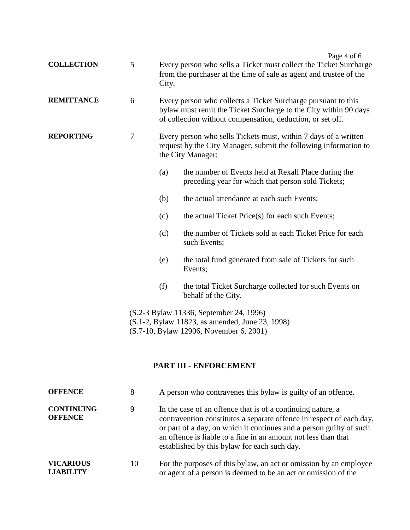| <b>COLLECTION</b> | 5              | City.                                                                                                                                                                                           | Page 4 of 6<br>Every person who sells a Ticket must collect the Ticket Surcharge<br>from the purchaser at the time of sale as agent and trustee of the |  |  |
|-------------------|----------------|-------------------------------------------------------------------------------------------------------------------------------------------------------------------------------------------------|--------------------------------------------------------------------------------------------------------------------------------------------------------|--|--|
| <b>REMITTANCE</b> | 6              | Every person who collects a Ticket Surcharge pursuant to this<br>bylaw must remit the Ticket Surcharge to the City within 90 days<br>of collection without compensation, deduction, or set off. |                                                                                                                                                        |  |  |
| <b>REPORTING</b>  | $\overline{7}$ | Every person who sells Tickets must, within 7 days of a written<br>request by the City Manager, submit the following information to<br>the City Manager:                                        |                                                                                                                                                        |  |  |
|                   |                | (a)                                                                                                                                                                                             | the number of Events held at Rexall Place during the<br>preceding year for which that person sold Tickets;                                             |  |  |
|                   |                | (b)                                                                                                                                                                                             | the actual attendance at each such Events;                                                                                                             |  |  |
|                   |                | (c)                                                                                                                                                                                             | the actual Ticket Price(s) for each such Events;                                                                                                       |  |  |
|                   |                | the number of Tickets sold at each Ticket Price for each<br>(d)<br>such Events;<br>the total fund generated from sale of Tickets for such<br>(e)<br>Events;                                     |                                                                                                                                                        |  |  |
|                   |                |                                                                                                                                                                                                 |                                                                                                                                                        |  |  |
|                   |                | (f)                                                                                                                                                                                             | the total Ticket Surcharge collected for such Events on<br>behalf of the City.                                                                         |  |  |
|                   |                | (S.2-3 Bylaw 11336, September 24, 1996)<br>(S.1-2, Bylaw 11823, as amended, June 23, 1998)<br>(S.7-10, Bylaw 12906, November 6, 2001)                                                           |                                                                                                                                                        |  |  |
|                   |                |                                                                                                                                                                                                 | PART III - ENFORCEMENT                                                                                                                                 |  |  |

| <b>OFFENCE</b>                       | 8  | A person who contravenes this bylaw is guilty of an offence.                                                                                                                                                                                                                                                                 |
|--------------------------------------|----|------------------------------------------------------------------------------------------------------------------------------------------------------------------------------------------------------------------------------------------------------------------------------------------------------------------------------|
| <b>CONTINUING</b><br><b>OFFENCE</b>  | 9  | In the case of an offence that is of a continuing nature, a<br>contravention constitutes a separate offence in respect of each day,<br>or part of a day, on which it continues and a person guilty of such<br>an offence is liable to a fine in an amount not less than that<br>established by this bylaw for each such day. |
| <b>VICARIOUS</b><br><b>LIABILITY</b> | 10 | For the purposes of this bylaw, an act or omission by an employee<br>or agent of a person is deemed to be an act or omission of the                                                                                                                                                                                          |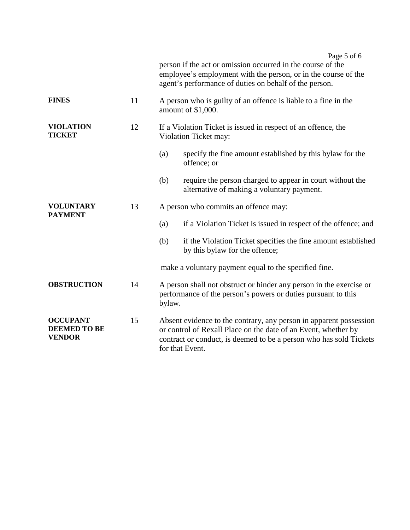|                                                         |    | Page 5 of 6<br>person if the act or omission occurred in the course of the<br>employee's employment with the person, or in the course of the<br>agent's performance of duties on behalf of the person.                        |  |
|---------------------------------------------------------|----|-------------------------------------------------------------------------------------------------------------------------------------------------------------------------------------------------------------------------------|--|
| <b>FINES</b>                                            | 11 | A person who is guilty of an offence is liable to a fine in the<br>amount of \$1,000.                                                                                                                                         |  |
| <b>VIOLATION</b><br><b>TICKET</b>                       | 12 | If a Violation Ticket is issued in respect of an offence, the<br>Violation Ticket may:                                                                                                                                        |  |
|                                                         |    | (a)<br>specify the fine amount established by this bylaw for the<br>offence; or                                                                                                                                               |  |
|                                                         |    | (b)<br>require the person charged to appear in court without the<br>alternative of making a voluntary payment.                                                                                                                |  |
| <b>VOLUNTARY</b><br><b>PAYMENT</b>                      | 13 | A person who commits an offence may:                                                                                                                                                                                          |  |
|                                                         |    | if a Violation Ticket is issued in respect of the offence; and<br>(a)                                                                                                                                                         |  |
|                                                         |    | if the Violation Ticket specifies the fine amount established<br>(b)<br>by this bylaw for the offence;                                                                                                                        |  |
|                                                         |    | make a voluntary payment equal to the specified fine.                                                                                                                                                                         |  |
| <b>OBSTRUCTION</b>                                      | 14 | A person shall not obstruct or hinder any person in the exercise or<br>performance of the person's powers or duties pursuant to this<br>bylaw.                                                                                |  |
| <b>OCCUPANT</b><br><b>DEEMED TO BE</b><br><b>VENDOR</b> | 15 | Absent evidence to the contrary, any person in apparent possession<br>or control of Rexall Place on the date of an Event, whether by<br>contract or conduct, is deemed to be a person who has sold Tickets<br>for that Event. |  |